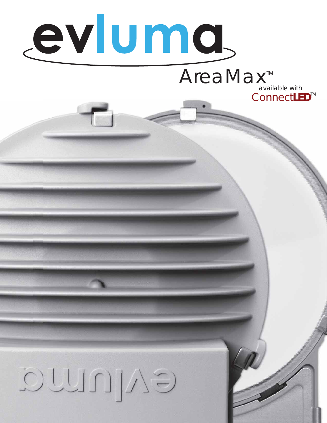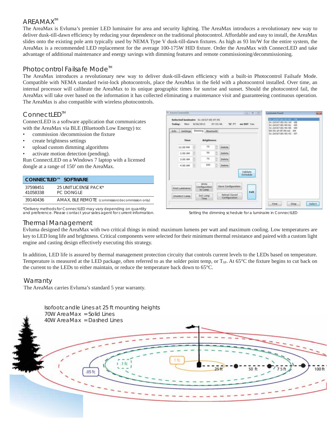# AREAMAX<sup>™</sup>

The AreaMax is Evluma's premier LED luminaire for area and security lighting. The AreaMax introduces a revolutionary new way to deliver dusk-till-dawn efficiency by reducing your dependence on the traditional photocontrol. Affordable and easy to install, the AreaMax slides onto the existing pole arm typically used by NEMA Type V dusk-till-dawn fixtures. As high as 93 lm/W for the entire system, the AreaMax is a recommended LED replacement for the average 100-175W HID fixture. Order the AreaMax with ConnectLED and take advantage of additional maintenance and energy savings with dimming features and remote commissioning/decommissioning.

# Photocontrol Failsafe Mode<sup>™</sup>

The AreaMax introduces a revolutionary new way to deliver dusk-till-dawn efficiency with a built-in Photocontrol Failsafe Mode. Compatible with NEMA standard twist-lock photocontrols, place the AreaMax in the field with a photocontrol installed. Over time, an internal processor will calibrate the AreaMax to its unique geographic times for sunrise and sunset. Should the photocontrol fail, the AreaMax will take over based on the information it has collected eliminating a maintenance visit and guaranteeing continuous operation. The AreaMax is also compatible with wireless photocontrols.

# ConnectLED<sup>™</sup>

ConnectLED is a software application that communicates with the AreaMax via BLE (Bluetooth Low Energy) to:

- commission /decommission the fixture
- create brightness settings
- upload custom dimming algorithms
- activate motion detection (pending).

Run ConnectLED on a Windows 7 laptop with a licensed dongle at a range of 150' om the AreaMax.

|                      | CONNECTLED™ SOFTWARE                            |
|----------------------|-------------------------------------------------|
| 37598451<br>41058338 | 25 UNIT LICENSE PACK*<br><b>PC DONGLE</b>       |
| 39140436             | AMAX, BLE REMOTE (commission/decommission only) |



| Today:<br>Mon:<br>Info: Settings | B/26/2013 | Dimming Bluetooth         | 07:53:46 | TZ PT                         | on DST. Yes          | 3c:2d:b7:85:94:0c<br>3c:2d:b7:85:95:95<br>90:59:af:0f:49:ed -84<br>3c:2d:b7:85:95:43 -87 | $-04$<br>$-89$ |
|----------------------------------|-----------|---------------------------|----------|-------------------------------|----------------------|------------------------------------------------------------------------------------------|----------------|
| <b>Time</b>                      |           | <b>Brightness</b>         |          |                               |                      |                                                                                          |                |
| 11:00 PM                         |           | 75                        | H        | Delete                        |                      |                                                                                          |                |
| 1:00 AM                          |           | 50                        | ÷        | Delete:                       |                      |                                                                                          |                |
| $3:00$ AM                        |           | 75.1                      | 国        | Delete.                       |                      |                                                                                          |                |
| 4:00 AM.                         |           | 100                       |          | Delete:                       |                      |                                                                                          |                |
| worked markets                   |           |                           |          |                               | Validate<br>Schedule |                                                                                          |                |
|                                  |           | Write                     |          |                               |                      |                                                                                          |                |
| Find Lunanaires                  |           | Configuration<br>to Livep |          | Save Configuration            |                      |                                                                                          |                |
| Unselect Lang.                   |           | Set Lamp                  |          | Reload Saved<br>Configuration | Exit                 |                                                                                          |                |

Setting the dimming schedule for a luminaire in ConnectLED

## Thermal Management

Evluma designed the AreaMax with two critical things in mind: maximum lumens per watt and maximum cooling. Low temperatures are key to LED long life and brightness. Critical components were selected for their minimum thermal resistance and paired with a custom light engine and casting design effectively executing this strategy.

In addition, LED life is assured by thermal management protection circuity that controls current levels to the LEDs based on temperature. Temperature is measured at the LED package, often referred to as the solder point temp, or  $T_{SP}$ . At  $65^{\circ}$ C the fixture begins to cut back on the current to the LEDs to either maintain, or reduce the temperature back down to 65°C.

## **Warranty**

The AreaMax carries Evluma's standard 5 year warranty.

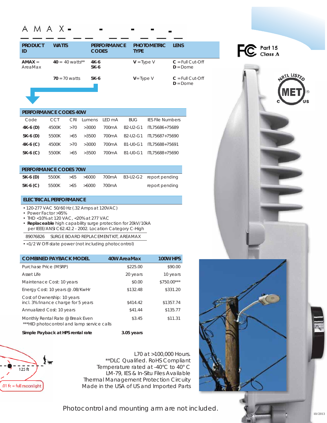# A M A X -

| <b>PRODUCT</b><br>ID | <b>WATTS</b>      | <b>PERFORMANCE</b><br><b>CODES</b> | <b>PHOTOMETRIC</b><br><b>TYPE</b> | <b>LENS</b>                       |
|----------------------|-------------------|------------------------------------|-----------------------------------|-----------------------------------|
| $AMAX =$<br>AreaMax  | $40 = 40$ watts** | 4K-6<br>$5K-6$                     | $V = Type V$                      | $C = Full Cut-Off$<br>$D = D$ ome |
|                      | $70 = 70$ watts   | 5K-6                               | $V = Type V$                      | $C = Full Cut-Off$<br>$D =$ Dome  |



#### **PERFORMANCE CODES 40W**

| Code       | CCT   |     |                 | CRI Lumens LED mA | <b>BUG</b> | <b>IES File Numbers</b>                           |
|------------|-------|-----|-----------------|-------------------|------------|---------------------------------------------------|
| $4K-6$ (D) | 4500K |     | $>70$ $>3000$   | 700mA             |            | B <sub>2</sub> -U <sub>2</sub> -G1 ITL75686+75689 |
| $5K-6$ (D) | 5500K |     |                 |                   |            | >65 >3500 700mA B2-U2-G1 ITL75687+75690           |
| $4K-6$ (C) |       |     | 4500K >70 >3000 |                   |            | 700mA B1-U0-G1 ITL75688+75691                     |
| $5K-6$ (C) | 5500K | >65 | >3500           | 700mA             |            | B1-U0-G1 ITL75688+75690                           |

| <b>PERFORMANCE CODES 70W</b> |                   |  |  |       |  |                                                     |
|------------------------------|-------------------|--|--|-------|--|-----------------------------------------------------|
| 5K-6 (D)                     |                   |  |  |       |  | $5500K$ $>65$ $>6000$ 700mA B3-U2-G2 report pending |
| $5K-6$ (C)                   | 5500K > 65 > 6000 |  |  | 700mA |  | report pending                                      |

## **ELECTRICAL PERFORMANCE**

- 120-277 VAC 50/60 Hz (.32 Amps at 120VAC)
- Power Factor >95%
- THD <10% at 120 VAC, <20% at 277 VAC
- **Replaceable** high capability surge protection for 20kV/10kA per IEEE/ANSI C62.42.2 - 2002. Location Category C-High
- 89076826 SURGE BOARD REPLACEMENT KIT, AREAMAX
- <1/2 W Off-state power (not including photocontrol)

| <b>COMBINED PAYBACK MODEL</b>                                                  | 40W AreaMax | 100W HPS    |
|--------------------------------------------------------------------------------|-------------|-------------|
| Purchase Price (MSRP)                                                          | \$225.00    | \$90.00     |
| Asset Life                                                                     | 20 years    | 10 years    |
| Maintenace Cost: 10 years                                                      | \$0.00      | \$750.00*** |
| Energy Cost: 10 years @.08/KwHr                                                | \$132.48    | \$331.20    |
| Cost of Ownership: 10 years<br>incl. 3% finance charge for 5 years             | \$414.42    | \$1357.74   |
| Annualized Cost: 10 years                                                      | \$41.44     | \$135.77    |
| Monthly Rental Rate @ Break Even<br>***HID photocontrol and lamp service calls | \$3.45      | \$11.31     |
| Simple Payback at HPS rental rate                                              | 3.05 years  |             |



L70 at >100,000 Hours. \*\*DLC Qualified. RoHS Compliant Temperature rated at -40°C to 40° C LM-79, IES & In-Situ Files Available Thermal Management Protection Circuity Made in the USA of US and Imported Parts



Photocontrol and mounting arm are not included.